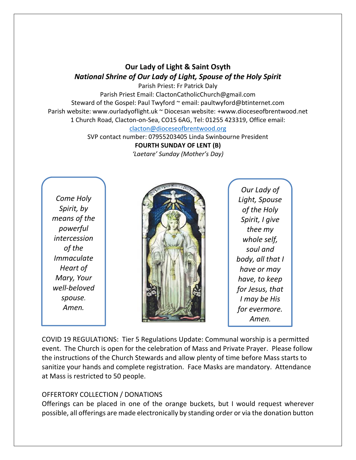# **Our Lady of Light & Saint Osyth** *National Shrine of Our Lady of Light, Spouse of the Holy Spirit*

Parish Priest: Fr Patrick Daly Parish Priest Email: ClactonCatholicChurch@gmail.com Steward of the Gospel: Paul Twyford ~ email: paultwyford@btinternet.com Parish website: www.ourladyoflight.uk ~ Diocesan website: +www.dioceseofbrentwood.net 1 Church Road, Clacton-on-Sea, CO15 6AG, Tel: 01255 423319, Office email: [clacton@dioceseofbrentwood.org](mailto:clacton@dioceseofbrentwood.org)

> SVP contact number: 07955203405 Linda Swinbourne President **FOURTH SUNDAY OF LENT (B)** *'Laetare' Sunday (Mother's Day)*

*Come Holy Spirit, by means of the powerful intercession of the Immaculate Heart of Mary, Your well-beloved spouse. Amen.*



*Our Lady of Light, Spouse of the Holy Spirit, I give thee my whole self, soul and body, all that I have or may have, to keep for Jesus, that I may be His for evermore. Amen.*

COVID 19 REGULATIONS: Tier 5 Regulations Update: Communal worship is a permitted event. The Church is open for the celebration of Mass and Private Prayer. Please follow the instructions of the Church Stewards and allow plenty of time before Mass starts to sanitize your hands and complete registration. Face Masks are mandatory. Attendance at Mass is restricted to 50 people.

## OFFERTORY COLLECTION / DONATIONS

Offerings can be placed in one of the orange buckets, but I would request wherever possible, all offerings are made electronically by standing order or via the donation button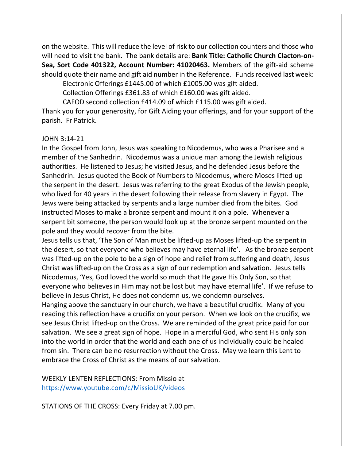on the website. This will reduce the level of risk to our collection counters and those who will need to visit the bank. The bank details are: **Bank Title: Catholic Church Clacton-on-Sea, Sort Code 401322, Account Number: 41020463.** Members of the gift-aid scheme should quote their name and gift aid number in the Reference. Funds received last week:

Electronic Offerings £1445.00 of which £1005.00 was gift aided. Collection Offerings £361.83 of which £160.00 was gift aided.

CAFOD second collection £414.09 of which £115.00 was gift aided.

Thank you for your generosity, for Gift Aiding your offerings, and for your support of the parish. Fr Patrick.

### JOHN 3:14-21

In the Gospel from John, Jesus was speaking to Nicodemus, who was a Pharisee and a member of the Sanhedrin. Nicodemus was a unique man among the Jewish religious authorities. He listened to Jesus; he visited Jesus, and he defended Jesus before the Sanhedrin. Jesus quoted the Book of Numbers to Nicodemus, where Moses lifted-up the serpent in the desert. Jesus was referring to the great Exodus of the Jewish people, who lived for 40 years in the desert following their release from slavery in Egypt. The Jews were being attacked by serpents and a large number died from the bites. God instructed Moses to make a bronze serpent and mount it on a pole. Whenever a serpent bit someone, the person would look up at the bronze serpent mounted on the pole and they would recover from the bite.

Jesus tells us that, 'The Son of Man must be lifted-up as Moses lifted-up the serpent in the desert, so that everyone who believes may have eternal life'. As the bronze serpent was lifted-up on the pole to be a sign of hope and relief from suffering and death, Jesus Christ was lifted-up on the Cross as a sign of our redemption and salvation. Jesus tells Nicodemus, 'Yes, God loved the world so much that He gave His Only Son, so that everyone who believes in Him may not be lost but may have eternal life'. If we refuse to believe in Jesus Christ, He does not condemn us, we condemn ourselves.

Hanging above the sanctuary in our church, we have a beautiful crucifix. Many of you reading this reflection have a crucifix on your person. When we look on the crucifix, we see Jesus Christ lifted-up on the Cross. We are reminded of the great price paid for our salvation. We see a great sign of hope. Hope in a merciful God, who sent His only son into the world in order that the world and each one of us individually could be healed from sin. There can be no resurrection without the Cross. May we learn this Lent to embrace the Cross of Christ as the means of our salvation.

WEEKLY LENTEN REFLECTIONS: From Missio at <https://www.youtube.com/c/MissioUK/videos>

STATIONS OF THE CROSS: Every Friday at 7.00 pm.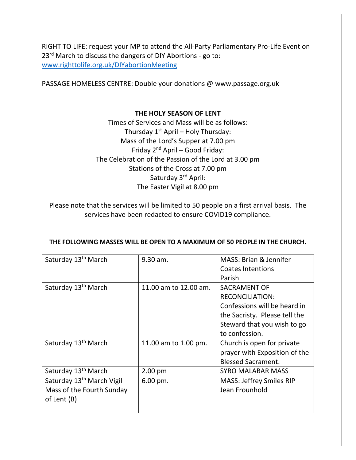RIGHT TO LIFE: request your MP to attend the All-Party Parliamentary Pro-Life Event on 23<sup>rd</sup> March to discuss the dangers of DIY Abortions - go to: [www.righttolife.org.uk/DIYabortionMeeting](http://www.righttolife.org.uk/DIYabortionMeeting)

PASSAGE HOMELESS CENTRE: Double your donations @ www.passage.org.uk

### **THE HOLY SEASON OF LENT**

Times of Services and Mass will be as follows: Thursday  $1^{st}$  April – Holy Thursday: Mass of the Lord's Supper at 7.00 pm Friday 2nd April – Good Friday: The Celebration of the Passion of the Lord at 3.00 pm Stations of the Cross at 7.00 pm Saturday 3rd April: The Easter Vigil at 8.00 pm

Please note that the services will be limited to 50 people on a first arrival basis. The services have been redacted to ensure COVID19 compliance.

| Saturday 13 <sup>th</sup> March       | $9.30$ am.             | <b>MASS: Brian &amp; Jennifer</b> |
|---------------------------------------|------------------------|-----------------------------------|
|                                       |                        | <b>Coates Intentions</b>          |
|                                       |                        | Parish                            |
| Saturday 13 <sup>th</sup> March       | 11.00 am to 12.00 am.  | <b>SACRAMENT OF</b>               |
|                                       |                        | <b>RECONCILIATION:</b>            |
|                                       |                        | Confessions will be heard in      |
|                                       |                        | the Sacristy. Please tell the     |
|                                       |                        | Steward that you wish to go       |
|                                       |                        | to confession.                    |
| Saturday 13 <sup>th</sup> March       | 11.00 am to 1.00 pm.   | Church is open for private        |
|                                       |                        | prayer with Exposition of the     |
|                                       |                        | <b>Blessed Sacrament.</b>         |
| Saturday 13 <sup>th</sup> March       | $2.00 \text{ pm}$      | <b>SYRO MALABAR MASS</b>          |
| Saturday 13 <sup>th</sup> March Vigil | $6.00 \,\mathrm{pm}$ . | <b>MASS: Jeffrey Smiles RIP</b>   |
| Mass of the Fourth Sunday             |                        | Jean Frounhold                    |
| of Lent (B)                           |                        |                                   |
|                                       |                        |                                   |

### **THE FOLLOWING MASSES WILL BE OPEN TO A MAXIMUM OF 50 PEOPLE IN THE CHURCH.**